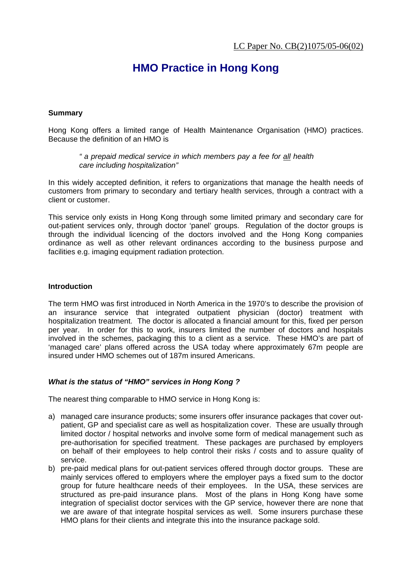# **HMO Practice in Hong Kong**

# **Summary**

Hong Kong offers a limited range of Health Maintenance Organisation (HMO) practices. Because the definition of an HMO is

*" a prepaid medical service in which members pay a fee for all health care including hospitalization"* 

In this widely accepted definition, it refers to organizations that manage the health needs of customers from primary to secondary and tertiary health services, through a contract with a client or customer.

This service only exists in Hong Kong through some limited primary and secondary care for out-patient services only, through doctor 'panel' groups. Regulation of the doctor groups is through the individual licencing of the doctors involved and the Hong Kong companies ordinance as well as other relevant ordinances according to the business purpose and facilities e.g. imaging equipment radiation protection.

### **Introduction**

The term HMO was first introduced in North America in the 1970's to describe the provision of an insurance service that integrated outpatient physician (doctor) treatment with hospitalization treatment. The doctor is allocated a financial amount for this, fixed per person per year. In order for this to work, insurers limited the number of doctors and hospitals involved in the schemes, packaging this to a client as a service. These HMO's are part of 'managed care' plans offered across the USA today where approximately 67m people are insured under HMO schemes out of 187m insured Americans.

# *What is the status of "HMO" services in Hong Kong ?*

The nearest thing comparable to HMO service in Hong Kong is:

- a) managed care insurance products; some insurers offer insurance packages that cover outpatient, GP and specialist care as well as hospitalization cover. These are usually through limited doctor / hospital networks and involve some form of medical management such as pre-authorisation for specified treatment. These packages are purchased by employers on behalf of their employees to help control their risks / costs and to assure quality of service.
- b) pre-paid medical plans for out-patient services offered through doctor groups. These are mainly services offered to employers where the employer pays a fixed sum to the doctor group for future healthcare needs of their employees. In the USA, these services are structured as pre-paid insurance plans. Most of the plans in Hong Kong have some integration of specialist doctor services with the GP service, however there are none that we are aware of that integrate hospital services as well. Some insurers purchase these HMO plans for their clients and integrate this into the insurance package sold.